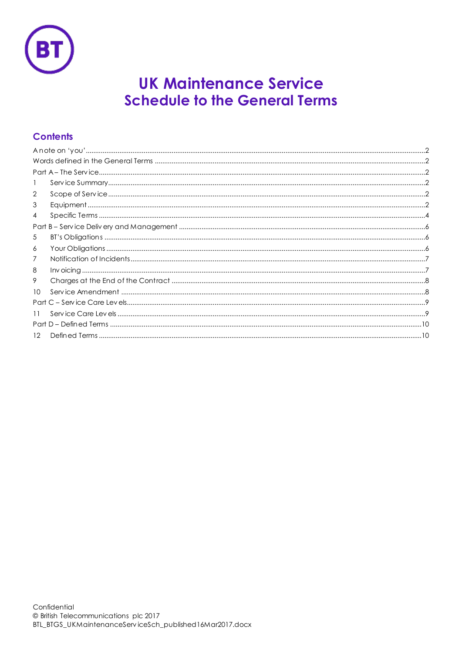

# **UK Maintenance Service Schedule to the General Terms**

## **Contents**

| -1      |  |  |
|---------|--|--|
| 2       |  |  |
| 3       |  |  |
| 4       |  |  |
|         |  |  |
| 5       |  |  |
| 6       |  |  |
| 7       |  |  |
| 8       |  |  |
| 9       |  |  |
| 10      |  |  |
|         |  |  |
| 11      |  |  |
|         |  |  |
| $12 \,$ |  |  |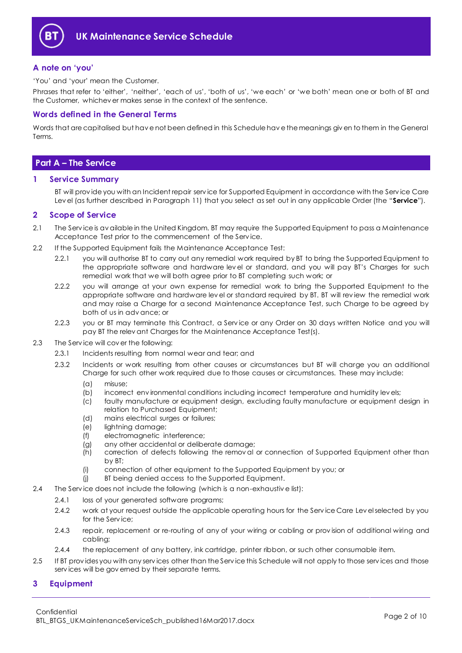

## <span id="page-1-0"></span>**A note on 'you'**

'You' and 'your' mean the Customer.

Phrases that refer to 'either', 'neither', 'each of us', 'both of us', 'we each' or 'we both' mean one or both of BT and the Customer, whichev er makes sense in the context of the sentence.

## <span id="page-1-1"></span>**Words defined in the General Terms**

Words that are capitalised but hav e not been defined in this Schedule hav e the meanings giv en to them in the General Terms.

## <span id="page-1-2"></span>**Part A – The Service**

## <span id="page-1-3"></span>**1 Service Summary**

BT will prov ide you with an Incident repair serv ice for Supported Equipment in accordance with the Serv ice Care Lev el (as further described in Paragraph [11\)](#page-8-1) that you select as set out in any applicable Order (the "**Service**").

## <span id="page-1-4"></span>**2 Scope of Service**

- 2.1 The Service is av ailable in the United Kingdom. BT may require the Supported Equipment to pass a Maintenance Acceptance Test prior to the commencement of the Serv ice.
- <span id="page-1-8"></span><span id="page-1-7"></span>2.2 If the Supported Equipment fails the Maintenance Acceptance Test:
	- 2.2.1 you will authorise BT to carry out any remedial work required by BT to bring the Supported Equipment to the appropriate software and hardware lev el or standard, and you will pay BT's Charges for such remedial work that we will both agree prior to BT completing such work; or
	- 2.2.2 you will arrange at your own expense for remedial work to bring the Supported Equipment to the appropriate software and hardware lev el or standard required by BT. BT will rev iew the remedial work and may raise a Charge for a second Maintenance Acceptance Test, such Charge to be agreed by both of us in adv ance; or
	- 2.2.3 you or BT may terminate this Contract, a Service or any Order on 30 days written Notice and you will pay BT the relev ant Charges for the Maintenance Acceptance Test(s).
- <span id="page-1-6"></span>2.3 The Serv ice will cov er the following:
	- 2.3.1 Incidents resulting from normal wear and tear; and
	- 2.3.2 Incidents or work resulting from other causes or circumstances but BT will charge you an additional Charge for such other work required due to those causes or circumstances. These may include:
		- (a) misuse;
		- (b) incorrect env ironmental conditions including incorrect temperature and humidity lev els;
		- (c) faulty manufacture or equipment design, excluding faulty manufacture or equipment design in relation to Purchased Equipment;
		- (d) mains electrical surges or failures;
		- (e) lightning damage;
		- (f) electromagnetic interference;
		- (g) any other accidental or deliberate damage;
		- (h) correction of defects following the remov al or connection of Supported Equipment other than by BT;
		- (i) connection of other equipment to the Supported Equipment by you; or
		- (j) BT being denied access to the Supported Equipment.
- 2.4 The Serv ice does not include the following (which is a non-exhaustiv e list):
	- 2.4.1 loss of your generated software programs;
	- 2.4.2 work at your request outside the applicable operating hours for the Serv ice Care Lev el selected by you for the Serv ice;
	- 2.4.3 repair, replacement or re-routing of any of your wiring or cabling or prov ision of additional wiring and cabling;
	- 2.4.4 the replacement of any battery, ink cartridge, printer ribbon, or such other consumable item.
- 2.5 If BT provides you with any services other than the Service this Schedule will not apply to those services and those serv ices will be gov erned by their separate terms.

## <span id="page-1-5"></span>**3 Equipment**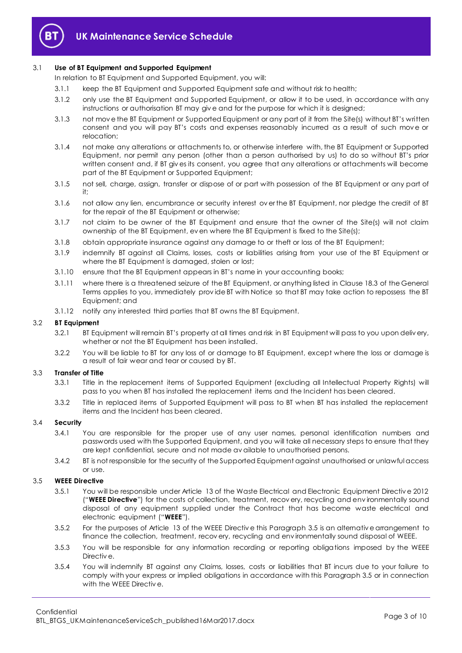

## 3.1 **Use of BT Equipment and Supported Equipment**

In relation to BT Equipment and Supported Equipment, you will:

- 3.1.1 keep the BT Equipment and Supported Equipment safe and without risk to health;
- 3.1.2 only use the BT Equipment and Supported Equipment, or allow it to be used, in accordance with any instructions or authorisation BT may giv e and for the purpose for which it is designed;
- 3.1.3 not mov e the BT Equipment or Supported Equipment or any part of it from the Site(s) without BT's written consent and you will pay BT's costs and expenses reasonably incurred as a result of such move or relocation;
- 3.1.4 not make any alterations or attachments to, or otherwise interfere with, the BT Equipment or Supported Equipment, nor permit any person (other than a person authorised by us) to do so without BT's prior written consent and, if BT giv es its consent, you agree that any alterations or attachments will become part of the BT Equipment or Supported Equipment;
- 3.1.5 not sell, charge, assign, transfer or dispose of or part with possession of the BT Equipment or any part of it;
- 3.1.6 not allow any lien, encumbrance or security interest ov er the BT Equipment, nor pledge the credit of BT for the repair of the BT Equipment or otherwise;
- 3.1.7 not claim to be owner of the BT Equipment and ensure that the owner of the Site(s) will not claim ownership of the BT Equipment, ev en where the BT Equipment is fixed to the Site(s);
- 3.1.8 obtain appropriate insurance against any damage to or theft or loss of the BT Equipment;
- 3.1.9 indemnify BT against all Claims, losses, costs or liabilities arising from your use of the BT Equipment or where the BT Equipment is damaged, stolen or lost;
- 3.1.10 ensure that the BT Equipment appears in BT's name in your accounting books;
- 3.1.11 where there is a threatened seizure of the BT Equipment, or anything listed in Clause 18.3 of the General Terms applies to you, immediately prov ide BT with Notice so that BT may take action to repossess the BT Equipment; and
- 3.1.12 notify any interested third parties that BT owns the BT Equipment.

#### 3.2 **BT Equipment**

- 3.2.1 BT Equipment will remain BT's property at all times and risk in BT Equipment will pass to you upon deliv ery, whether or not the BT Equipment has been installed.
- 3.2.2 You will be liable to BT for any loss of or damage to BT Equipment, except where the loss or damage is a result of fair wear and tear or caused by BT.

#### 3.3 **Transfer of Title**

- 3.3.1 Title in the replacement items of Supported Equipment (excluding all Intellectual Property Rights) will pass to you when BT has installed the replacement items and the Incident has been cleared.
- 3.3.2 Title in replaced items of Supported Equipment will pass to BT when BT has installed the replacement items and the Incident has been cleared.

## 3.4 **Security**

- 3.4.1 You are responsible for the proper use of any user names, personal identification numbers and passwords used with the Supported Equipment, and you will take all necessary steps to ensure that they are kept confidential, secure and not made av ailable to unauthorised persons.
- 3.4.2 BT is not responsible for the security of the Supported Equipment against unauthorised or unlawful access or use.

## <span id="page-2-1"></span><span id="page-2-0"></span>3.5 **WEEE Directive**

- 3.5.1 You will be responsible under Article 13 of the Waste Electrical and Electronic Equipment Directiv e 2012 ("**WEEE Directive**") for the costs of collection, treatment, recov ery, recycling and env ironmentally sound disposal of any equipment supplied under the Contract that has become waste electrical and electronic equipment ("**WEEE**").
- 3.5.2 For the purposes of Article 13 of the WEEE Directiv e this Paragrap[h 3.5](#page-2-0) is an alternativ e arrangement to finance the collection, treatment, recov ery, recycling and env ironmentally sound disposal of WEEE.
- 3.5.3 You will be responsible for any information recording or reporting obligations imposed by the WEEE Directiv e.
- 3.5.4 You will indemnify BT against any Claims, losses, costs or liabilities that BT incurs due to your failure to comply with your express or implied obligations in accordance with this Paragrap[h 3.5](#page-2-0) or in connection with the WEEE Directiv e.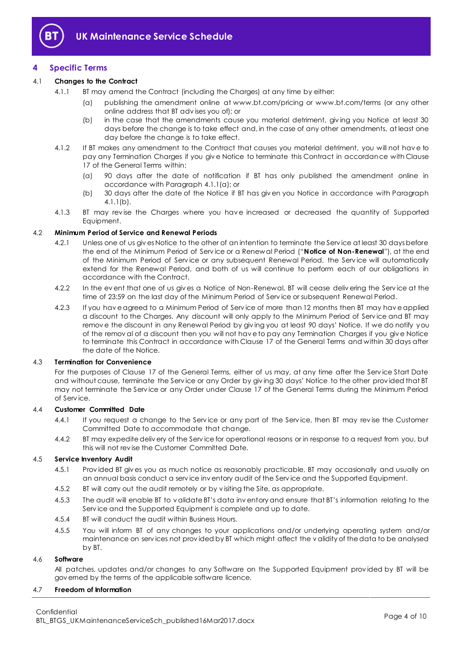

## <span id="page-3-0"></span>**4 Specific Terms**

## <span id="page-3-1"></span>4.1 **Changes to the Contract**

- 4.1.1 BT may amend the Contract (including the Charges) at any time by either:
	- (a) publishing the amendment online at www.bt.com/pricing or www.bt.com/terms (or any other online address that BT adv ises you of); or
	- (b) in the case that the amendments cause you material detriment, giv ing you Notice at least 30 days before the change is to take effect and, in the case of any other amendments, at least one day before the change is to take effect.
- <span id="page-3-2"></span>4.1.2 If BT makes any amendment to the Contract that causes you material detriment, you will not hav e to pay any Termination Charges if you giv e Notice to terminate this Contract in accordance with Clause 17 of the General Terms within:
	- (a) 90 days after the date of notification if BT has only published the amendment online in accordance with Paragrap[h 4.1.1\(a\);](#page-3-1) or
	- (b) 30 days after the date of the Notice if BT has giv en you Notice in accordance with Paragraph [4.1.1\(b\).](#page-3-2)
- 4.1.3 BT may revise the Charges where you have increased or decreased the quantity of Supported Equipment.

## <span id="page-3-3"></span>4.2 **Minimum Period of Service and Renewal Periods**

- 4.2.1 Unless one of us giv es Notice to the other of an intention to terminate the Serv ice at least 30 days before the end of the Minimum Period of Serv ice or a Renewal Period ("**Notice of Non-Renewal**"), at the end of the Minimum Period of Serv ice or any subsequent Renewal Period, the Serv ice will automatically extend for the Renewal Period, and both of us will continue to perform each of our obligations in accordance with the Contract.
- 4.2.2 In the ev ent that one of us giv es a Notice of Non-Renewal, BT will cease deliv ering the Serv ice at the time of 23:59 on the last day of the Minimum Period of Serv ice or subsequent Renewal Period.
- 4.2.3 If you hav e agreed to a Minimum Period of Serv ice of more than 12 months then BT may hav e applied a discount to the Charges. Any discount will only apply to the Minimum Period of Serv ice and BT may remov e the discount in any Renewal Period by giv ing you at least 90 days' Notice. If we do notify you of the remov al of a discount then you will not hav e to pay any Termination Charges if you giv e Notice to terminate this Contract in accordance with Clause 17 of the General Terms and within 30 days after the date of the Notice.

## 4.3 **Termination for Convenience**

For the purposes of Clause 17 of the General Terms, either of us may, at any time after the Serv ice Start Date and without cause, terminate the Serv ice or any Order by giv ing 30 days' Notice to the other prov ided that BT may not terminate the Serv ice or any Order under Clause 17 of the General Terms during the Minimum Period of Serv ice.

## 4.4 **Customer Committed Date**

- 4.4.1 If you request a change to the Service or any part of the Service, then BT may revise the Customer Committed Date to accommodate that change.
- 4.4.2 BT may expedite deliv ery of the Serv ice for operational reasons or in response to a request from you, but this will not rev ise the Customer Committed Date.

## 4.5 **Service Inventory Audit**

- 4.5.1 Prov ided BT giv es you as much notice as reasonably practicable, BT may occasionally and usually on an annual basis conduct a serv ice inv entory audit of the Serv ice and the Supported Equipment.
- 4.5.2 BT will carry out the audit remotely or by visiting the Site, as appropriate.
- 4.5.3 The audit will enable BT to v alidate BT's data inv entory and ensure that BT's information relating to the Serv ice and the Supported Equipment is complete and up to date.
- 4.5.4 BT will conduct the audit within Business Hours.
- 4.5.5 You will inform BT of any changes to your applications and/or underlying operating system and/or maintenance on serv ices not prov ided by BT which might affect the v alidity of the data to be analysed by BT.

## 4.6 **Software**

All patches, updates and/or changes to any Software on the Supported Equipment prov ided by BT will be gov erned by the terms of the applicable software licence.

## 4.7 **Freedom of Information**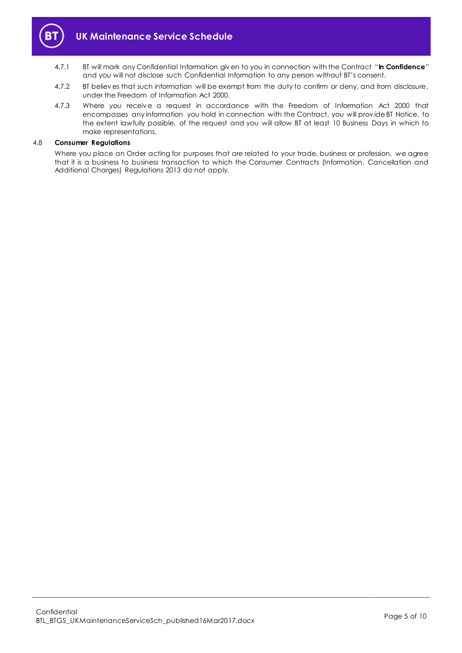

- 4.7.1 BT will mark any Confidential Information giv en to you in connection with the Contract "**In Confidence**" and you will not disclose such Confidential Information to any person without BT's consent.
- 4.7.2 BT believ es that such information will be exempt from the duty to confirm or deny, and from disclosure, under the Freedom of Information Act 2000.
- 4.7.3 Where you receive a request in accordance with the Freedom of Information Act 2000 that encompasses any information you hold in connection with the Contract, you will prov ide BT Notice, to the extent lawfully possible, of the request and you will allow BT at least 10 Business Days in which to make representations.

#### 4.8 **Consumer Regulations**

Where you place an Order acting for purposes that are related to your trade, business or profession, we agree that it is a business to business transaction to which the Consumer Contracts (Information, Cancellation and Additional Charges) Regulations 2013 do not apply.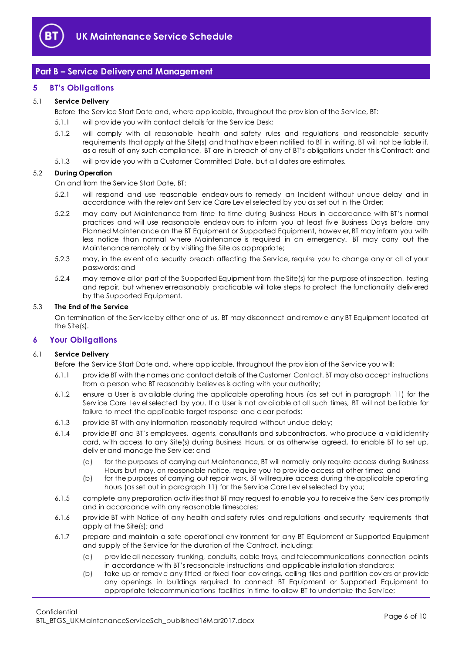

## <span id="page-5-0"></span>**Part B – Service Delivery and Management**

## <span id="page-5-1"></span>**5 BT's Obligations**

## 5.1 **Service Delivery**

Before the Serv ice Start Date and, where applicable, throughout the prov ision of the Serv ice, BT:

- 5.1.1 will provide you with contact details for the Service Desk;
- 5.1.2 will comply with all reasonable health and safety rules and regulations and reasonable security requirements that apply at the Site(s) and that hav e been notified to BT in writing. BT will not be liable if, as a result of any such compliance, BT are in breach of any of BT's obligations under this Contract; and
- 5.1.3 will prov ide you with a Customer Committed Date, but all dates are estimates.

## 5.2 **During Operation**

On and from the Serv ice Start Date, BT:

- 5.2.1 will respond and use reasonable endeav ours to remedy an Incident without undue delay and in accordance with the relev ant Serv ice Care Lev el selected by you as set out in the Order;
- 5.2.2 may carry out Maintenance from time to time during Business Hours in accordance with BT's normal practices and will use reasonable endeav ours to inform you at least fiv e Business Days before any Planned Maintenance on the BT Equipment or Supported Equipment, howev er, BT may inform you with less notice than normal where Maintenance is required in an emergency. BT may carry out the Maintenance remotely or by v isiting the Site as appropriate;
- 5.2.3 may, in the ev ent of a security breach affecting the Serv ice, require you to change any or all of your passwords; and
- 5.2.4 may remov e all or part of the Supported Equipment from the Site(s) for the purpose of inspection, testing and repair, but whenev er reasonably practicable will take steps to protect the functionality deliv ered by the Supported Equipment.

#### 5.3 **The End of the Service**

On termination of the Serv ice by either one of us, BT may disconnect and remov e any BT Equipment located at the Site(s).

## <span id="page-5-2"></span>**6 Your Obligations**

#### 6.1 **Service Delivery**

- Before the Serv ice Start Date and, where applicable, throughout the prov ision of the Serv ice you will:
- 6.1.1 prov ide BT with the names and contact details of the Customer Contact. BT may also accept instructions from a person who BT reasonably believ es is acting with your authority;
- 6.1.2 ensure a User is av ailable during the applicable operating hours (as set out in paragraph [11\)](#page-8-1) for the Serv ice Care Lev el selected by you. If a User is not av ailable at all such times, BT will not be liable for failure to meet the applicable target response and clear periods;
- 6.1.3 prov ide BT with any information reasonably required without undue delay;
- 6.1.4 prov ide BT and BT's employees, agents, consultants and subcontractors, who produce a v alid identity card, with access to any Site(s) during Business Hours, or as otherwise agreed, to enable BT to set up, deliv er and manage the Serv ice; and
	- (a) for the purposes of carrying out Maintenance, BT will normally only require access during Business Hours but may, on reasonable notice, require you to prov ide access at other times; and
	- (b) for the purposes of carrying out repair work, BT will require access during the applicable operating hours (as set out in paragraph [11\)](#page-8-1) for the Serv ice Care Lev el selected by you;
- 6.1.5 complete any preparation activ ities that BT may request to enable you to receiv e the Serv ices promptly and in accordance with any reasonable timescales;
- 6.1.6 prov ide BT with Notice of any health and safety rules and regulations and security requirements that apply at the Site(s); and
- 6.1.7 prepare and maintain a safe operational env ironment for any BT Equipment or Supported Equipment and supply of the Serv ice for the duration of the Contract, including:
	- (a) prov ide all necessary trunking, conduits, cable trays, and telecommunications connection points in accordance with BT's reasonable instructions and applicable installation standards;
	- (b) take up or remov e any fitted or fixed floor cov erings, ceiling tiles and partition cov ers or prov ide any openings in buildings required to connect BT Equipment or Supported Equipment to appropriate telecommunications facilities in time to allow BT to undertake the Serv ice;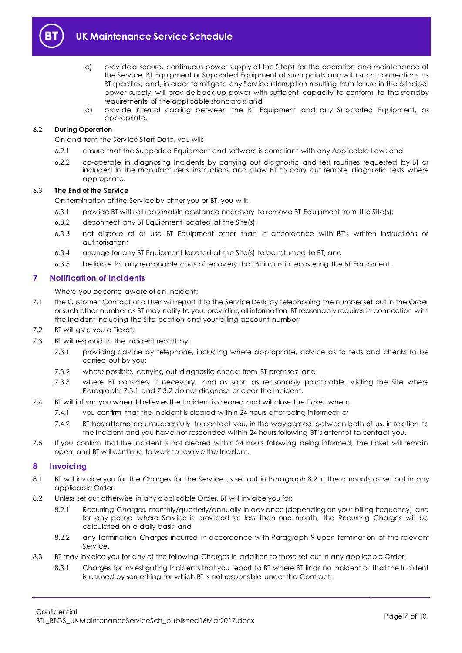

- (c) prov ide a secure, continuous power supply at the Site(s) for the operation and maintenance of the Serv ice, BT Equipment or Supported Equipment at such points and with such connections as BT specifies, and, in order to mitigate any Serv ice interruption resulting from failure in the principal power supply, will prov ide back-up power with sufficient capacity to conform to the standby requirements of the applicable standards; and
- (d) prov ide internal cabling between the BT Equipment and any Supported Equipment, as appropriate.

## 6.2 **During Operation**

On and from the Serv ice Start Date, you will:

- 6.2.1 ensure that the Supported Equipment and software is compliant with any Applicable Law; and
- 6.2.2 co-operate in diagnosing Incidents by carrying out diagnostic and test routines requested by BT or included in the manufacturer's instructions and allow BT to carry out remote diagnostic tests where appropriate.

## 6.3 **The End of the Service**

On termination of the Serv ice by either you or BT, you w ill:

- 6.3.1 provide BT with all reasonable assistance necessary to remove BT Equipment from the Site(s);
- 6.3.2 disconnect any BT Equipment located at the Site(s);
- 6.3.3 not dispose of or use BT Equipment other than in accordance with BT's written instructions or authorisation;
- 6.3.4 arrange for any BT Equipment located at the Site(s) to be returned to BT; and
- 6.3.5 be liable for any reasonable costs of recov ery that BT incurs in recov ering the BT Equipment.

## <span id="page-6-0"></span>**7 Notification of Incidents**

Where you become aware of an Incident:

- 7.1 the Customer Contact or a User will report it to the Serv ice Desk by telephoning the number set out in the Order or such other number as BT may notify to you, prov iding all information BT reasonably requires in connection with the Incident including the Site location and your billing account number;
- 7.2 BT will giv e you a Ticket;
- <span id="page-6-2"></span>7.3 BT will respond to the Incident report by:
	- 7.3.1 prov iding adv ice by telephone, including where appropriate, adv ice as to tests and checks to be carried out by you;
	- 7.3.2 where possible, carrying out diagnostic checks from BT premises; and
	- 7.3.3 where BT considers it necessary, and as soon as reasonably practicable, v isiting the Site where Paragraph[s 7.3.1](#page-6-2) and [7.3.2](#page-6-3) do not diagnose or clear the Incident.
- <span id="page-6-3"></span>7.4 BT will inform you when it believ es the Incident is cleared and will close the Ticket when:
	- 7.4.1 you confirm that the Incident is cleared within 24 hours after being informed; or
	- 7.4.2 BT has attempted unsuccessfully to contact you, in the way agreed between both of us, in relation to the Incident and you hav e not responded within 24 hours following BT's attempt to contact you.
- 7.5 If you confirm that the Incident is not cleared within 24 hours following being informed, the Ticket will remain open, and BT will continue to work to resolv e the Incident.

## <span id="page-6-1"></span>**8 Invoicing**

- 8.1 BT will inv oice you for the Charges for the Service as set out in Paragraph [8.2](#page-6-4) in the amounts as set out in any applicable Order.
- <span id="page-6-4"></span>8.2 Unless set out otherwise in any applicable Order, BT will inv oice you for:
	- 8.2.1 Recurring Charges, monthly/quarterly/annually in advance (depending on your billing frequency) and for any period where Service is provided for less than one month, the Recurring Charges will be calculated on a daily basis; and
	- 8.2.2 any Termination Charges incurred in accordance with Paragraph [9](#page-7-0) upon termination of the relevant Serv ice.
- 8.3 BT may inv oice you for any of the following Charges in addition to those set out in any applicable Order:
	- 8.3.1 Charges for inv estigating Incidents that you report to BT where BT finds no Incident or that the Incident is caused by something for which BT is not responsible under the Contract;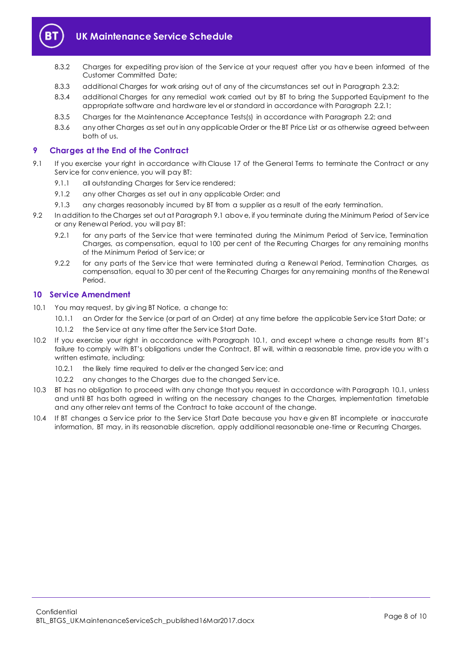

- 8.3.2 Charges for expediting prov ision of the Serv ice at your request after you hav e been informed of the Customer Committed Date;
- 8.3.3 additional Charges for work arising out of any of the circumstances set out in Paragraph [2.3.2;](#page-1-6)
- 8.3.4 additional Charges for any remedial work carried out by BT to bring the Supported Equipment to the appropriate software and hardware lev el or standard in accordance with Paragrap[h 2.2.1;](#page-1-7)
- 8.3.5 Charges for the Maintenance Acceptance Tests(s) in accordance with Paragraph [2.2;](#page-1-8) and
- 8.3.6 any other Charges as set out in any applicable Order or the BT Price List or as otherwise agreed between both of us.

## <span id="page-7-0"></span>**9 Charges at the End of the Contract**

- <span id="page-7-2"></span>9.1 If you exercise your right in accordance with Clause 17 of the General Terms to terminate the Contract or any Serv ice for conv enience, you will pay BT:
	- 9.1.1 all outstanding Charges for Service rendered:
	- 9.1.2 any other Charges as set out in any applicable Order; and
	- 9.1.3 any charges reasonably incurred by BT from a supplier as a result of the early termination.
- 9.2 In addition to the Charges set out at Paragraph [9.1](#page-7-2) above, if you terminate during the Minimum Period of Service or any Renewal Period, you will pay BT:
	- 9.2.1 for any parts of the Service that were terminated during the Minimum Period of Service, Termination Charges, as compensation, equal to 100 per cent of the Recurring Charges for any remaining months of the Minimum Period of Serv ice; or
	- 9.2.2 for any parts of the Service that were terminated during a Renewal Period, Termination Charges, as compensation, equal to 30 per cent of the Recurring Charges for any remaining months of the Renewal Period.

## <span id="page-7-1"></span>**10 Service Amendment**

- <span id="page-7-3"></span>10.1 You may request, by giv ing BT Notice, a change to:
	- 10.1.1 an Order for the Serv ice (or part of an Order) at any time before the applicable Serv ice Start Date; or
	- 10.1.2 the Service at any time after the Service Start Date.
- 10.2 If you exercise your right in accordance with Paragraph [10.1](#page-7-3), and except where a change results from BT's failure to comply with BT's obligations under the Contract, BT will, within a reasonable time, prov ide you with a written estimate, including:
	- 10.2.1 the likely time required to deliver the changed Service; and
	- 10.2.2 any changes to the Charges due to the changed Serv ice.
- 10.3 BT has no obligation to proceed with any change that you request in accordance with Paragraph [10.1,](#page-7-3) unless and until BT has both agreed in writing on the necessary changes to the Charges, implementation timetable and any other relev ant terms of the Contract to take account of the change.
- 10.4 If BT changes a Serv ice prior to the Serv ice Start Date because you hav e giv en BT incomplete or inaccurate information, BT may, in its reasonable discretion, apply additional reasonable one-time or Recurring Charges.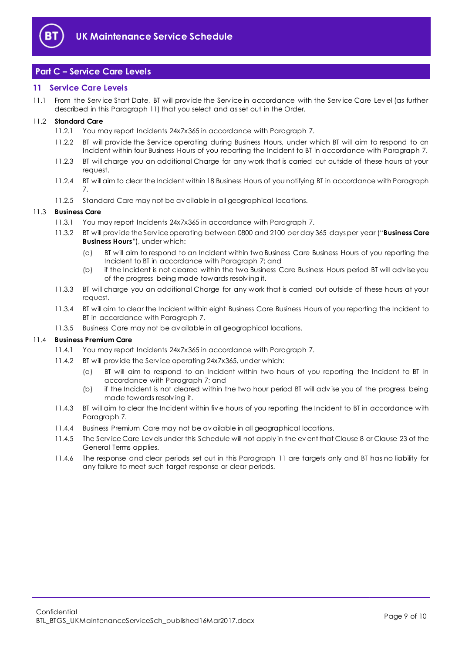

## <span id="page-8-0"></span>**Part C – Service Care Levels**

## <span id="page-8-1"></span>**11 Service Care Levels**

11.1 From the Serv ice Start Date, BT will prov ide the Serv ice in accordance with the Serv ice Care Lev el (as further described in this Paragraph [11\)](#page-8-1) that you select and as set out in the Order.

## <span id="page-8-5"></span>11.2 **Standard Care**

- 11.2.1 You may report Incidents 24x7x365 in accordance with Paragraph [7.](#page-6-0)
- 11.2.2 BT will prov ide the Serv ice operating during Business Hours, under which BT will aim to respond to an Incident within four Business Hours of you reporting the Incident to BT in accordance with Paragrap[h 7.](#page-6-0)
- 11.2.3 BT will charge you an additional Charge for any work that is carried out outside of these hours at your request.
- 11.2.4 BT will aim to clear the Incident within 18 Business Hours of you notifying BT in accordance with Paragraph [7.](#page-6-0)
- 11.2.5 Standard Care may not be av ailable in all geographical locations.

## <span id="page-8-3"></span><span id="page-8-2"></span>11.3 **Business Care**

- 11.3.1 You may report Incidents 24x7x365 in accordance with Paragraph [7.](#page-6-0)
- 11.3.2 BT will prov ide the Serv ice operating between 0800 and 2100 per day 365 days per year ("**Business Care Business Hours**"), under which:
	- (a) BT will aim to respond to an Incident within two Business Care Business Hours of you reporting the Incident to BT in accordance with Paragrap[h 7;](#page-6-0) and
	- (b) if the Incident is not cleared within the two Business Care Business Hours period BT will adv ise you of the progress being made towards resolv ing it.
- 11.3.3 BT will charge you an additional Charge for any work that is carried out outside of these hours at your request.
- 11.3.4 BT will aim to clear the Incident within eight Business Care Business Hours of you reporting the Incident to BT in accordance with Paragrap[h 7.](#page-6-0)
- 11.3.5 Business Care may not be av ailable in all geographical locations.

#### <span id="page-8-4"></span>11.4 **Business Premium Care**

- 11.4.1 You may report Incidents 24x7x365 in accordance with Paragraph [7.](#page-6-0)
- 11.4.2 BT will prov ide the Serv ice operating 24x7x365, under which:
	- (a) BT will aim to respond to an Incident within two hours of you reporting the Incident to BT in accordance with Paragrap[h 7;](#page-6-0) and
	- (b) if the Incident is not cleared within the two hour period BT will adv ise you of the progress being made towards resolv ing it.
- 11.4.3 BT will aim to clear the Incident within fiv e hours of you reporting the Incident to BT in accordance with Paragrap[h 7.](#page-6-0)
- 11.4.4 Business Premium Care may not be av ailable in all geographical locations.
- 11.4.5 The Serv ice Care Lev els under this Schedule will not apply in the ev ent that Clause 8 or Clause 23 of the General Terms applies.
- 11.4.6 The response and clear periods set out in this Paragraph [11](#page-8-1) are targets only and BT has no liability for any failure to meet such target response or clear periods.